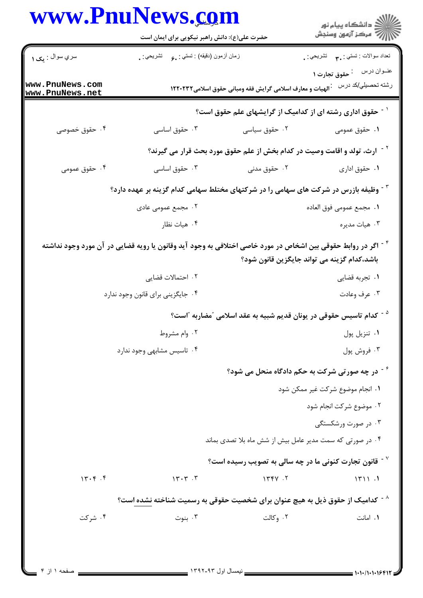|                                    | www.PnuNews.com                                                                                                          |                                                                                                        | ڪ دانشڪاه پيام نور<br>/> مرڪز آزمون وسنڊش        |  |
|------------------------------------|--------------------------------------------------------------------------------------------------------------------------|--------------------------------------------------------------------------------------------------------|--------------------------------------------------|--|
|                                    | حضرت علی(ع): دانش راهبر نیکویی برای ایمان است                                                                            |                                                                                                        |                                                  |  |
| سري سوال : يک ۱                    | زمان أزمون (دقيقه) : تستي: ¸ع       تشريحي: ¸                                                                            |                                                                                                        | نعداد سوالات : تستبي : ٣ <b>٠</b> ٠ نشريحي : .   |  |
| www.PnuNews.com<br>www.PnuNews.net |                                                                                                                          | الهیات و معارف اسلامی گرایش فقه ومبانی حقوق اسلامی۱۲۲۰۲۳۲                                              | عنــوان درس منحقوق تجارت ١<br>رشته تحصيلي/كد درس |  |
|                                    |                                                                                                                          | <sup>۱ -</sup> حقوق اداری رشته ای از کدامیک از گرایشهای علم حقوق است؟                                  |                                                  |  |
| ۰۴ حقوق خصوصی                      | ۰۳ حقوق اساسی                                                                                                            |                                                                                                        |                                                  |  |
|                                    |                                                                                                                          | <sup>۲ -</sup> ارث، تولد و اقامت وصیت در کدام بخش از علم حقوق مورد بحث قرار می گیرند؟                  |                                                  |  |
| ۰۴ حقوق عمومی                      | ۰۳ حقوق اساسی                                                                                                            | ۰۲ حقوق مدنی                                                                                           | ۰۱ حقوق اداري                                    |  |
|                                    | <sup>۲</sup> <sup>-</sup> وظیفه بازرس در شرکت های سهامی را در شرکتهای مختلط سهامی کدام گزینه بر عهده دارد؟               |                                                                                                        |                                                  |  |
|                                    | ۲. مجمع عمومی عادی                                                                                                       |                                                                                                        | ٠١. مجمع عمومي فوق العاده                        |  |
|                                    | ۰۴ هيات نظار                                                                                                             |                                                                                                        | ۰۳ هيات مديره                                    |  |
|                                    | <sup>۴ -</sup> اگر در روابط حقوقی بین اشخاص در مورد خاصی اختلافی به وجود آید وقانون یا رویه قضایی در آن مورد وجود نداشته | باشد،کدام گزینه می تواند جایگزین قانون شود؟                                                            |                                                  |  |
|                                    | ۰۲ احتمالات قضایی                                                                                                        |                                                                                                        | ۰۱ تجربه قضایی                                   |  |
|                                    | ۰۴ جایگزینی برای قانون وجود ندارد                                                                                        |                                                                                                        | ۰۳ عرف وعادت                                     |  |
|                                    |                                                                                                                          | <sup>ه -</sup> كدام تاسيس حقوقى در يونان قديم شبيه به عقد اسلامى <sup>"</sup> مضاربه <sup>"</sup> است؟ |                                                  |  |
|                                    | ۰۲ وام مشروط                                                                                                             |                                                                                                        | ٠١ تنزيل پول                                     |  |
|                                    | ۰۴ تاسیس مشابهی وجود ندارد                                                                                               |                                                                                                        | ۰۳ فروش پول                                      |  |
|                                    |                                                                                                                          | <sup>۶ -</sup> در چه صورتی شرکت به حکم دادگاه منحل می شود؟                                             |                                                  |  |
|                                    |                                                                                                                          |                                                                                                        | ٠١ انجام موضوع شركت غير ممكن شود                 |  |
|                                    |                                                                                                                          |                                                                                                        | ۰۲ موضوع شرکت انجام شود                          |  |
|                                    |                                                                                                                          |                                                                                                        | ۰۳ در صورت ورشکستگی                              |  |
|                                    |                                                                                                                          | ۰۴ در صورتی که سمت مدیر عامل بیش از شش ماه بلا تصدی بماند                                              |                                                  |  |
|                                    |                                                                                                                          | $^{\circ}$ قانون تجارت کنونی ما در چه سالی به تصویب رسیده است $^{\circ}$                               |                                                  |  |
| 14.9.1                             | $15.7 \cdot 7$                                                                                                           | 1444.7                                                                                                 | 1711.1                                           |  |
|                                    | <sup>^ -</sup> كداميك از حقوق ذيل به هيچ عنوان براى شخصيت حقوقى به رسميت شناخته <u>نشده ا</u> ست؟                        |                                                                                                        |                                                  |  |
| ۰۴ شرکت                            | ۰۳ بنوت                                                                                                                  | ۰۲ وکالت                                                                                               | ۰۱ امانت                                         |  |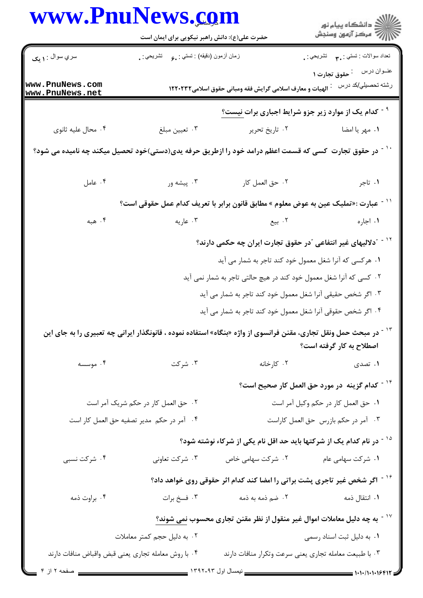| www.PnuNews.com                     | حضرت علی(ع): دانش راهبر نیکویی برای ایمان است                          |                                                                                                                   | ڪ دانشڪاه پيام نور<br>ر∕ = مرڪز آزمون وسنڊش               |
|-------------------------------------|------------------------------------------------------------------------|-------------------------------------------------------------------------------------------------------------------|-----------------------------------------------------------|
| سري سوال : ۱ يک                     | زمان أزمون (دقيقه) : نستي : <sub>م</sub> و       نشريحي : <sub>.</sub> |                                                                                                                   |                                                           |
| www.PnuNews.com<br>www.PnuNews.net  |                                                                        | الهیات و معارف اسلامی گرایش فقه ومبانی حقوق اسلامی١٢٢٠٢٣٢                                                         | رشته تحصيل <i>ي </i> كد درس    :                          |
|                                     |                                                                        | <sup>۹ -</sup> کدام یک از موارد زیر جزو شرایط اجباری برات <u>نیست؟</u>                                            |                                                           |
| ۰۴ محال عليه ثانوي                  | ۰۳ تعيين مبلغ                                                          | ۰۲ تاريخ تحرير                                                                                                    | ۰۱ مهر یا امضا                                            |
|                                     |                                                                        | <sup>۱ -</sup> در حقوق تجارت کسی که قسمت اعظم درامد خود را ازطریق حرفه یدی(دستی)خود تحصیل میکند چه نامیده می شود؟ |                                                           |
| ۰۴ عامل                             | ۰۳ پیشه ور                                                             | ٠٢ حق العمل كار                                                                                                   | ۰۱ تاجر                                                   |
|                                     |                                                                        | ّ ' - عبارت :«تمليک عين به عوض معلوم » مطابق قانون برابر با تعريف کدام عمل حقوقي است؟                             |                                                           |
| ۰۴ هبه                              | ۰۳ عاریه                                                               | ۰۲ بیع                                                                                                            | ۰۱ اجاره                                                  |
|                                     |                                                                        | <sup>۱۲ -</sup> "دلالیهای غیر انتفاعی <sup>"</sup> در حقوق تجارت ایران چه حکمی دارند؟                             |                                                           |
|                                     |                                                                        | ۰۱ هرکسی که آنرا شغل معمول خود کند تاجر به شمار می آید                                                            |                                                           |
|                                     |                                                                        | ۰۲ کسی که آنرا شغل معمول خود کند در هیچ حالتی تاجر به شمار نمی آید                                                |                                                           |
|                                     |                                                                        | ۰۳ اگر شخص حقیقی آنرا شغل معمول خود کند تاجر به شمار می آید                                                       |                                                           |
|                                     |                                                                        | ۰۴ اگر شخص حقوقی آنرا شغل معمول خود کند تاجر به شمار می آید                                                       |                                                           |
|                                     |                                                                        | در مبحث حمل ونقل تجاری، مقنن فرانسوی از واژه «بنگاه» استفاده نموده ، قانونگذار ایرانی چه تعبیری را به جای این     | اصطلاح به کار گرفته است؟                                  |
| ۰۴ موسسه                            | ۰۳ شرکت                                                                | ۰۲ کارخانه                                                                                                        | ۰۱ تصدی                                                   |
|                                     |                                                                        |                                                                                                                   | <sup>۱۴ -</sup> کدام گزینه در مورد حق العمل کار صحیح است؟ |
| ۰۲ حق العمل کار در حکم شریک آمر است |                                                                        | ٠١ حق العمل كار در حكم وكيل آمر است                                                                               |                                                           |
|                                     | ۰۴ آمر در حکم مدیر تصفیه حق العمل کار است                              |                                                                                                                   | ٠٣ آمر در حكم بازرس حق العمل كاراست                       |
|                                     |                                                                        | <sup>۱۵ -</sup> در نام کدام یک از شرکتها باید حد اقل نام یکی از شرکاء نوشته شود؟                                  |                                                           |
| ۰۴ شرکت نسبی                        | ۰۳ شرکت تعاونی                                                         | ۰۲ شرکت سهامی خاص                                                                                                 | ۰۱ شرکت سهامی عام                                         |
|                                     |                                                                        | گاچ اگر شخص غیر تاجری پشت براتی را امضا کند کدام اثر حقوقی روی خواهد داد؟                                         |                                                           |
| ۰۴ براوت ذمه                        | ۰۳ فسخ برات                                                            | ۲. ضم ذمه به ذمه                                                                                                  | ۰۱ انتقال ذمه                                             |
|                                     |                                                                        | به چه دلیل معاملات اموال غیر منقول از نظر مقنن تجاری محسوب نمی شوند؟                                              |                                                           |
|                                     | ۰۲ به دلیل حجم کمتر معاملات                                            |                                                                                                                   | ٠١. به دليل ثبت اسناد رسمي                                |
|                                     | ۰۴ با روش معامله تجارى يعنى قبض واقباض منافات دارند                    | ۰۳ با طبیعت معامله تجاری یعنی سرعت وتکرار منافات دارند                                                            |                                                           |
|                                     |                                                                        |                                                                                                                   | = 1・1・/1・1・1۶۴۱'                                          |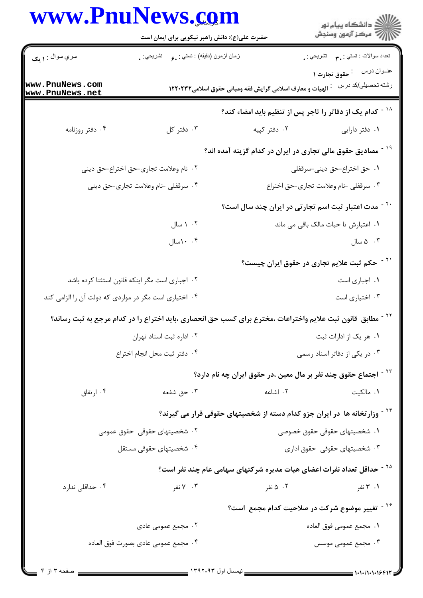|                                                       | www.PnuNews.com                                                                                                        |                                                           | ِ<br>∭ دانشڪاه پيام نور<br>∭ مرڪز آزمون وسنڊش                                         |  |
|-------------------------------------------------------|------------------------------------------------------------------------------------------------------------------------|-----------------------------------------------------------|---------------------------------------------------------------------------------------|--|
|                                                       | حضرت علی(ع): دانش راهبر نیکویی برای ایمان است                                                                          |                                                           |                                                                                       |  |
| سري سوال : ۱ يک                                       | زمان أزمون (دقيقه) : تستي : ¸م       تشريحي : ¸                                                                        |                                                           | تعداد سوالات : تستبي : ٣ <b>. س</b> تشريحي : .                                        |  |
| www.PnuNews.com<br>www.PnuNews.net                    |                                                                                                                        | الهيات و معارف اسلامي گرايش فقه ومباني حقوق اسلامي١٢٢٠٢٣٢ | عنــوان درس<br><sup>:</sup> حقوق تجارت ۱<br>رشته تحصىل <i>ي </i> كد درس               |  |
|                                                       |                                                                                                                        |                                                           | <sup>۱۸ -</sup> کدام یک از دفاتر را تاجر پس از تنظیم باید امضاء کند؟                  |  |
| ۰۴ دفتر روزنامه                                       | ۰۳ دفتر کل                                                                                                             | ۰۲ دفتر کپیه                                              | ۰۱ دفتر دارایی                                                                        |  |
|                                                       |                                                                                                                        |                                                           | <sup>۱۹ -</sup> مصادیق حقوق مالی تجاری در ایران در کدام گزینه آمده اند؟               |  |
|                                                       | ٠٢ نام وعلامت تجارى-حق اختراع-حق ديني                                                                                  | 1. حق اختراع-حق ديني-سرقفلي                               |                                                                                       |  |
|                                                       | ۰۴ سرقفلی -نام وعلامت تجاری-حق دینی                                                                                    | ٠٣ سرقفلي -نام وعلامت تجاري-حق اختراع                     |                                                                                       |  |
|                                                       |                                                                                                                        |                                                           | <sup>۲۰ -</sup> مدت اعتبار ثبت اسم تجارتی در ایران چند سال است؟                       |  |
|                                                       | ۰۲ سال                                                                                                                 |                                                           | ٠١ اعتبارش تا حيات مالک باقى مى ماند                                                  |  |
|                                                       | ۰. ۱۰سال                                                                                                               |                                                           | ۰۳ ۵ سال                                                                              |  |
|                                                       |                                                                                                                        |                                                           | ّ` <sup>۲</sup> - حکم ثبت علایم تجاری در حقوق ایران چیست؟                             |  |
|                                                       | ۰۲ اجباری است مگر اینکه قانون استثنا کرده باشد                                                                         | ٠١ اجبارى است                                             |                                                                                       |  |
| ۰۴ اختیاری است مگر در مواردی که دولت آن را الزامی کند |                                                                                                                        | ۰۳ اختیاری است                                            |                                                                                       |  |
|                                                       | <sup>۲۲ -</sup> مطابق  قانون ثبت علایم واختراعات ،مخترع برای کسب حق انحصاری ،باید اختراع را در کدام مرجع به ثبت رساند؟ |                                                           |                                                                                       |  |
|                                                       | ٠٢ اداره ثبت اسناد تهران                                                                                               | ۰۱ هر یک از ادارات ثبت                                    |                                                                                       |  |
|                                                       | ٠۴ دفتر ثبت محل انجام اختراع                                                                                           |                                                           | ۰۳ در یکی از دفاتر اسناد رسمی                                                         |  |
|                                                       |                                                                                                                        |                                                           | <sup>۲۳ -</sup> اجتماع حقوق چند نفر بر مال معین ،در حقوق ایران چه نام دارد؟           |  |
| ۰۴ ارتفاق                                             | ۰۳ حق شفعه                                                                                                             | ۰۲ اشاعه                                                  | ٠١. مالكيت                                                                            |  |
|                                                       |                                                                                                                        |                                                           | <sup>۲۴ -</sup> وزار تخانه ها در ایران جزو کدام دسته از شخصیتهای حقوقی قرار می گیرند؟ |  |
|                                                       | ۰۲ شخصیتهای حقوقی حقوق عمومی                                                                                           | ۰۱ شخصیتهای حقوقی حقوق خصوصی                              |                                                                                       |  |
|                                                       | ۰۴ شخصیتهای حقوقی مستقل                                                                                                | ۰۳ شخصیتهای حقوقی حقوق اداری                              |                                                                                       |  |
|                                                       |                                                                                                                        |                                                           | <sup>۲۵ -</sup> حداقل تعداد نفرات اعضای هیات مدیره شرکتهای سهامی عام چند نفر است؟     |  |
| ۰۴ حداقلی ندارد                                       | ۰۳ نفر                                                                                                                 | ۰۲ ۵ نفر                                                  | ۰۱ تفر                                                                                |  |
|                                                       |                                                                                                                        |                                                           | <sup>۲۶ -</sup> تغییر موضوع شرکت در صلاحیت کدام مجمع است؟                             |  |
|                                                       | ۰۲ مجمع عمومی عادی                                                                                                     |                                                           | ٠١. مجمع عمومي فوق العاده                                                             |  |
| ۰۴ مجمع عمومي عادى بصورت فوق العاده                   |                                                                                                                        |                                                           | ۰۳ مجمع عمومی موسس                                                                    |  |
|                                                       |                                                                                                                        |                                                           |                                                                                       |  |